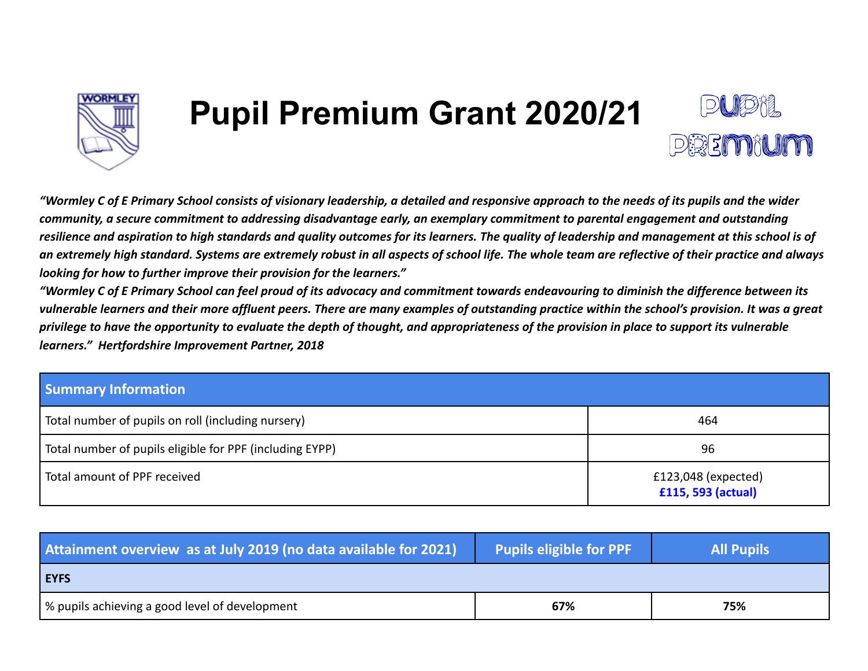

# **Pupil Premium Grant 2020/21**



*"Wormley C of E Primary School consists of visionary leadership, a detailed and responsive approach to the needs of its pupils and the wider community, a secure commitment to addressing disadvantage early, an exemplary commitment to parental engagement and outstanding resilience and aspiration to high standards and quality outcomes for its learners. The quality of leadership and management at this school is of an extremely high standard. Systems are extremely robust in all aspects of school life. The whole team are reflective of their practice and always looking for how to further improve their provision for the learners."*

*"Wormley C of E Primary School can feel proud of its advocacy and commitment towards endeavouring to diminish the difference between its vulnerable learners and their more affluent peers. There are many examples of outstanding practice within the school's provision. It was a great privilege to have the opportunity to evaluate the depth of thought, and appropriateness of the provision in place to support its vulnerable learners." Hertfordshire Improvement Partner, 2018*

| <b>Summary Information</b>                               |                                             |
|----------------------------------------------------------|---------------------------------------------|
| Total number of pupils on roll (including nursery)       | 464                                         |
| Total number of pupils eligible for PPF (including EYPP) | 96                                          |
| Total amount of PPF received                             | $£123,048$ (expected)<br>£115, 593 (actual) |

| Attainment overview as at July 2019 (no data available for 2021) | <b>Pupils eligible for PPF</b> | <b>All Pupils</b> |
|------------------------------------------------------------------|--------------------------------|-------------------|
| <b>EYFS</b>                                                      |                                |                   |
| % pupils achieving a good level of development                   | 67%                            | 75%               |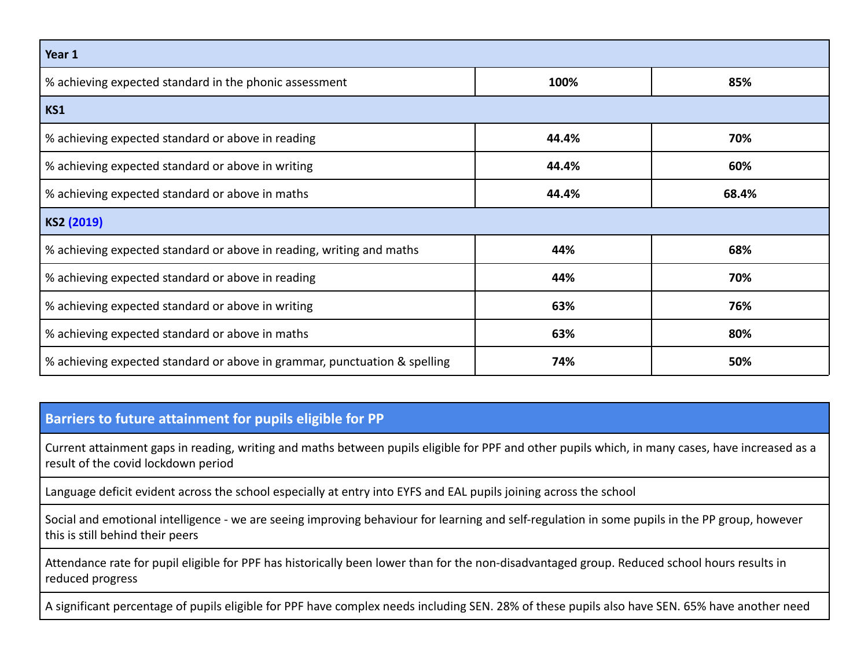| Year 1                                                                    |       |       |  |  |  |
|---------------------------------------------------------------------------|-------|-------|--|--|--|
| % achieving expected standard in the phonic assessment<br>100%<br>85%     |       |       |  |  |  |
| KS1                                                                       |       |       |  |  |  |
| % achieving expected standard or above in reading                         | 44.4% | 70%   |  |  |  |
| % achieving expected standard or above in writing                         | 44.4% | 60%   |  |  |  |
| % achieving expected standard or above in maths                           | 44.4% | 68.4% |  |  |  |
| KS2 (2019)                                                                |       |       |  |  |  |
| % achieving expected standard or above in reading, writing and maths      | 44%   | 68%   |  |  |  |
| % achieving expected standard or above in reading                         | 44%   | 70%   |  |  |  |
| % achieving expected standard or above in writing                         | 63%   | 76%   |  |  |  |
| % achieving expected standard or above in maths                           | 63%   | 80%   |  |  |  |
| % achieving expected standard or above in grammar, punctuation & spelling | 74%   | 50%   |  |  |  |

### **Barriers to future attainment for pupils eligible for PP**

Current attainment gaps in reading, writing and maths between pupils eligible for PPF and other pupils which, in many cases, have increased as a result of the covid lockdown period

Language deficit evident across the school especially at entry into EYFS and EAL pupils joining across the school

Social and emotional intelligence - we are seeing improving behaviour for learning and self-regulation in some pupils in the PP group, however this is still behind their peers

Attendance rate for pupil eligible for PPF has historically been lower than for the non-disadvantaged group. Reduced school hours results in reduced progress

A significant percentage of pupils eligible for PPF have complex needs including SEN. 28% of these pupils also have SEN. 65% have another need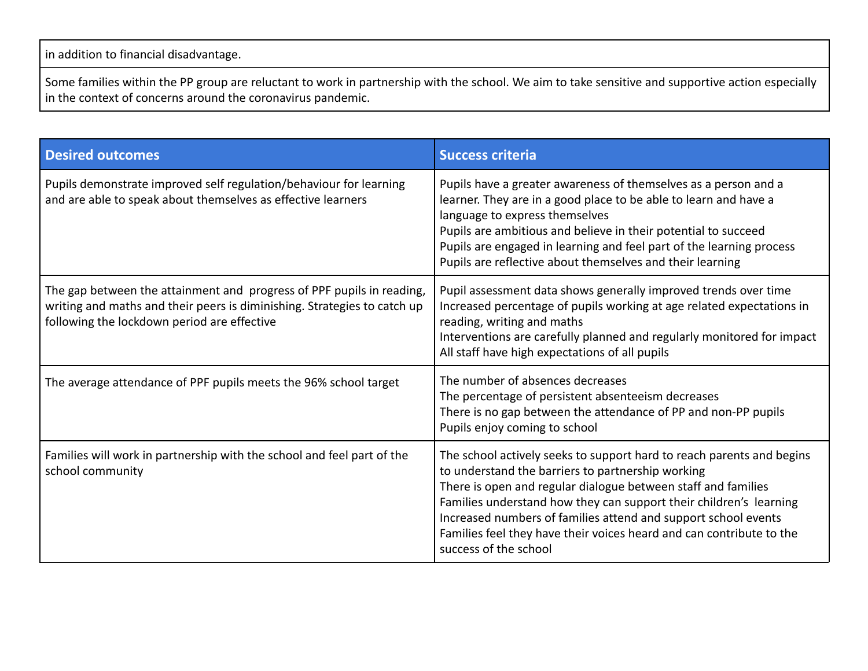in addition to financial disadvantage.

Some families within the PP group are reluctant to work in partnership with the school. We aim to take sensitive and supportive action especially in the context of concerns around the coronavirus pandemic.

| <b>Desired outcomes</b>                                                                                                                                                                          | <b>Success criteria</b>                                                                                                                                                                                                                                                                                                                                                                                                              |
|--------------------------------------------------------------------------------------------------------------------------------------------------------------------------------------------------|--------------------------------------------------------------------------------------------------------------------------------------------------------------------------------------------------------------------------------------------------------------------------------------------------------------------------------------------------------------------------------------------------------------------------------------|
| Pupils demonstrate improved self regulation/behaviour for learning<br>and are able to speak about themselves as effective learners                                                               | Pupils have a greater awareness of themselves as a person and a<br>learner. They are in a good place to be able to learn and have a<br>language to express themselves<br>Pupils are ambitious and believe in their potential to succeed<br>Pupils are engaged in learning and feel part of the learning process<br>Pupils are reflective about themselves and their learning                                                         |
| The gap between the attainment and progress of PPF pupils in reading,<br>writing and maths and their peers is diminishing. Strategies to catch up<br>following the lockdown period are effective | Pupil assessment data shows generally improved trends over time<br>Increased percentage of pupils working at age related expectations in<br>reading, writing and maths<br>Interventions are carefully planned and regularly monitored for impact<br>All staff have high expectations of all pupils                                                                                                                                   |
| The average attendance of PPF pupils meets the 96% school target                                                                                                                                 | The number of absences decreases<br>The percentage of persistent absenteeism decreases<br>There is no gap between the attendance of PP and non-PP pupils<br>Pupils enjoy coming to school                                                                                                                                                                                                                                            |
| Families will work in partnership with the school and feel part of the<br>school community                                                                                                       | The school actively seeks to support hard to reach parents and begins<br>to understand the barriers to partnership working<br>There is open and regular dialogue between staff and families<br>Families understand how they can support their children's learning<br>Increased numbers of families attend and support school events<br>Families feel they have their voices heard and can contribute to the<br>success of the school |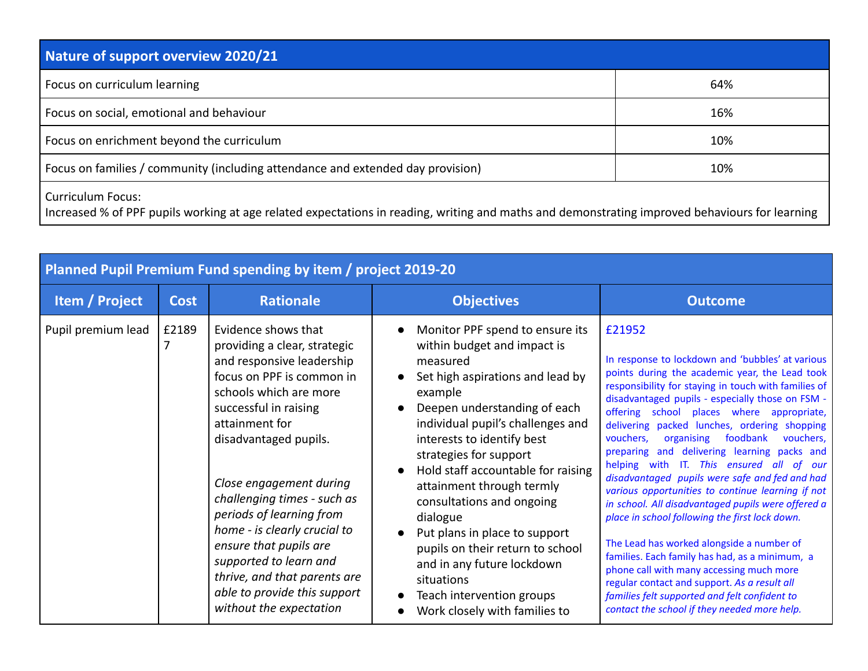| Nature of support overview 2020/21                                                                                                                                         |     |  |  |  |
|----------------------------------------------------------------------------------------------------------------------------------------------------------------------------|-----|--|--|--|
| Focus on curriculum learning                                                                                                                                               | 64% |  |  |  |
| Focus on social, emotional and behaviour                                                                                                                                   | 16% |  |  |  |
| Focus on enrichment beyond the curriculum                                                                                                                                  | 10% |  |  |  |
| Focus on families / community (including attendance and extended day provision)                                                                                            | 10% |  |  |  |
| <b>Curriculum Focus:</b><br>Increased % of PPF pupils working at age related expectations in reading, writing and maths and demonstrating improved behaviours for learning |     |  |  |  |

| Planned Pupil Premium Fund spending by item / project 2019-20 |             |                                                                                                                                                                                                                                                                                                                                                                                                                                                                                  |                                                                                                                                                                                                                                                                                                                                                                                                                                                                                                                                                   |                                                                                                                                                                                                                                                                                                                                                                                                                                                                                                                                                                                                                                                                                                                                                                                                                                                                                                                                                                                 |
|---------------------------------------------------------------|-------------|----------------------------------------------------------------------------------------------------------------------------------------------------------------------------------------------------------------------------------------------------------------------------------------------------------------------------------------------------------------------------------------------------------------------------------------------------------------------------------|---------------------------------------------------------------------------------------------------------------------------------------------------------------------------------------------------------------------------------------------------------------------------------------------------------------------------------------------------------------------------------------------------------------------------------------------------------------------------------------------------------------------------------------------------|---------------------------------------------------------------------------------------------------------------------------------------------------------------------------------------------------------------------------------------------------------------------------------------------------------------------------------------------------------------------------------------------------------------------------------------------------------------------------------------------------------------------------------------------------------------------------------------------------------------------------------------------------------------------------------------------------------------------------------------------------------------------------------------------------------------------------------------------------------------------------------------------------------------------------------------------------------------------------------|
| <b>Item / Project</b>                                         | <b>Cost</b> | <b>Rationale</b>                                                                                                                                                                                                                                                                                                                                                                                                                                                                 | <b>Objectives</b>                                                                                                                                                                                                                                                                                                                                                                                                                                                                                                                                 | <b>Outcome</b>                                                                                                                                                                                                                                                                                                                                                                                                                                                                                                                                                                                                                                                                                                                                                                                                                                                                                                                                                                  |
| Pupil premium lead                                            | £2189       | Evidence shows that<br>providing a clear, strategic<br>and responsive leadership<br>focus on PPF is common in<br>schools which are more<br>successful in raising<br>attainment for<br>disadvantaged pupils.<br>Close engagement during<br>challenging times - such as<br>periods of learning from<br>home - is clearly crucial to<br>ensure that pupils are<br>supported to learn and<br>thrive, and that parents are<br>able to provide this support<br>without the expectation | Monitor PPF spend to ensure its<br>within budget and impact is<br>measured<br>Set high aspirations and lead by<br>example<br>Deepen understanding of each<br>individual pupil's challenges and<br>interests to identify best<br>strategies for support<br>Hold staff accountable for raising<br>attainment through termly<br>consultations and ongoing<br>dialogue<br>Put plans in place to support<br>pupils on their return to school<br>and in any future lockdown<br>situations<br>Teach intervention groups<br>Work closely with families to | £21952<br>In response to lockdown and 'bubbles' at various<br>points during the academic year, the Lead took<br>responsibility for staying in touch with families of<br>disadvantaged pupils - especially those on FSM -<br>offering school places where appropriate,<br>delivering packed lunches, ordering shopping<br>foodbank<br>organising<br>vouchers,<br>vouchers,<br>preparing and delivering learning packs and<br>helping with IT. This ensured all of our<br>disadvantaged pupils were safe and fed and had<br>various opportunities to continue learning if not<br>in school. All disadvantaged pupils were offered a<br>place in school following the first lock down.<br>The Lead has worked alongside a number of<br>families. Each family has had, as a minimum, a<br>phone call with many accessing much more<br>regular contact and support. As a result all<br>families felt supported and felt confident to<br>contact the school if they needed more help. |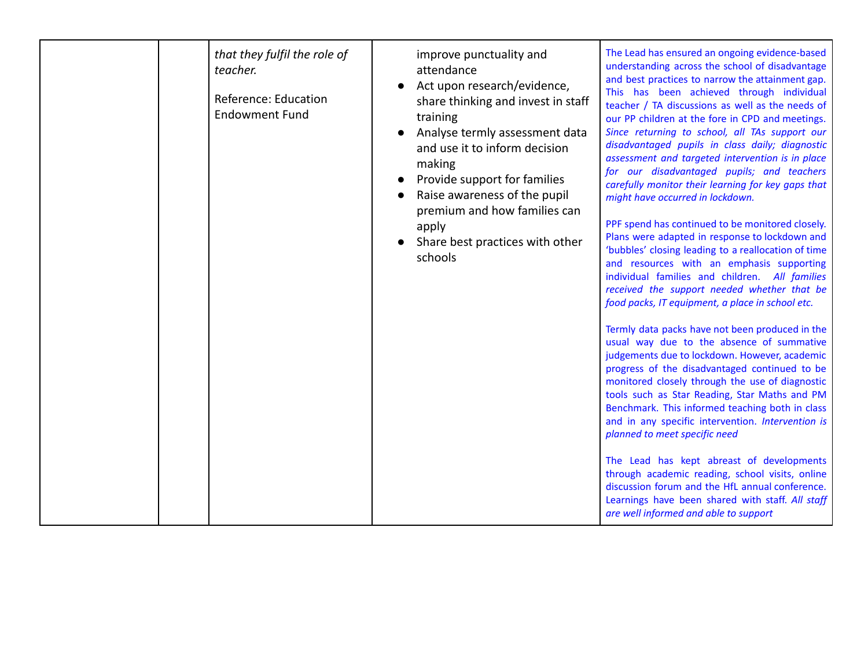| that they fulfil the role of<br>teacher.<br>Reference: Education<br><b>Endowment Fund</b> | improve punctuality and<br>attendance<br>Act upon research/evidence,<br>share thinking and invest in staff<br>training<br>Analyse termly assessment data<br>and use it to inform decision<br>making<br>Provide support for families<br>Raise awareness of the pupil<br>premium and how families can<br>apply<br>Share best practices with other<br>schools | The Lead has ensured an ongoing evidence-based<br>understanding across the school of disadvantage<br>and best practices to narrow the attainment gap.<br>This has been achieved through individual<br>teacher / TA discussions as well as the needs of<br>our PP children at the fore in CPD and meetings.<br>Since returning to school, all TAs support our<br>disadvantaged pupils in class daily; diagnostic<br>assessment and targeted intervention is in place<br>for our disadvantaged pupils; and teachers<br>carefully monitor their learning for key gaps that<br>might have occurred in lockdown.<br>PPF spend has continued to be monitored closely.<br>Plans were adapted in response to lockdown and<br>'bubbles' closing leading to a reallocation of time<br>and resources with an emphasis supporting<br>individual families and children. All families<br>received the support needed whether that be<br>food packs, IT equipment, a place in school etc.<br>Termly data packs have not been produced in the<br>usual way due to the absence of summative<br>judgements due to lockdown. However, academic<br>progress of the disadvantaged continued to be<br>monitored closely through the use of diagnostic<br>tools such as Star Reading, Star Maths and PM<br>Benchmark. This informed teaching both in class<br>and in any specific intervention. Intervention is<br>planned to meet specific need<br>The Lead has kept abreast of developments<br>through academic reading, school visits, online<br>discussion forum and the HfL annual conference. |
|-------------------------------------------------------------------------------------------|------------------------------------------------------------------------------------------------------------------------------------------------------------------------------------------------------------------------------------------------------------------------------------------------------------------------------------------------------------|------------------------------------------------------------------------------------------------------------------------------------------------------------------------------------------------------------------------------------------------------------------------------------------------------------------------------------------------------------------------------------------------------------------------------------------------------------------------------------------------------------------------------------------------------------------------------------------------------------------------------------------------------------------------------------------------------------------------------------------------------------------------------------------------------------------------------------------------------------------------------------------------------------------------------------------------------------------------------------------------------------------------------------------------------------------------------------------------------------------------------------------------------------------------------------------------------------------------------------------------------------------------------------------------------------------------------------------------------------------------------------------------------------------------------------------------------------------------------------------------------------------------------------------------------------------------------|
|                                                                                           |                                                                                                                                                                                                                                                                                                                                                            | Learnings have been shared with staff. All staff<br>are well informed and able to support                                                                                                                                                                                                                                                                                                                                                                                                                                                                                                                                                                                                                                                                                                                                                                                                                                                                                                                                                                                                                                                                                                                                                                                                                                                                                                                                                                                                                                                                                    |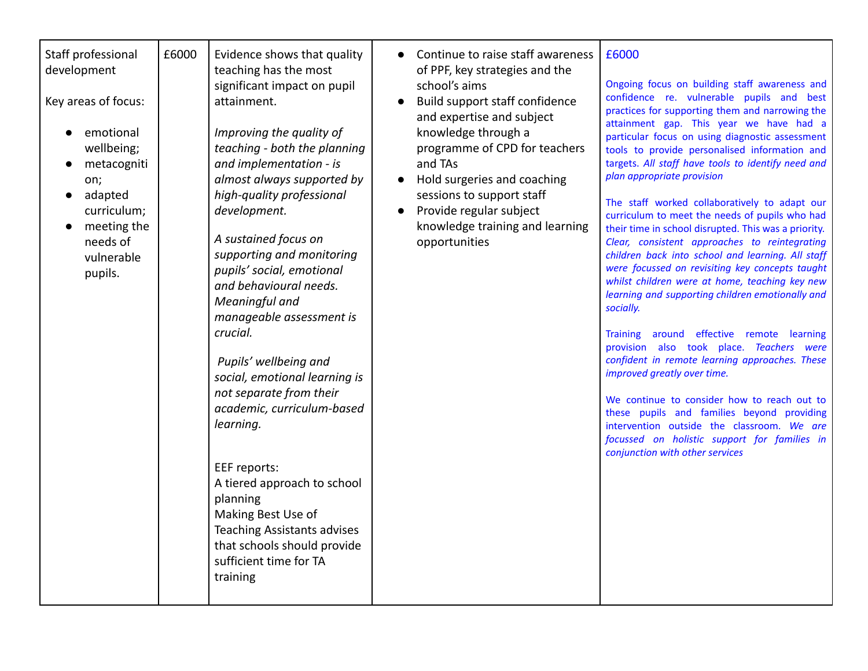| Staff professional<br>development<br>Key areas of focus:<br>emotional<br>wellbeing;<br>metacogniti<br>on;<br>adapted<br>curriculum;<br>meeting the<br>needs of<br>vulnerable<br>pupils. | £6000 | Evidence shows that quality<br>teaching has the most<br>significant impact on pupil<br>attainment.<br>Improving the quality of<br>teaching - both the planning<br>and implementation - is<br>almost always supported by<br>high-quality professional<br>development.<br>A sustained focus on<br>supporting and monitoring<br>pupils' social, emotional<br>and behavioural needs.<br>Meaningful and<br>manageable assessment is<br>crucial.<br>Pupils' wellbeing and<br>social, emotional learning is<br>not separate from their<br>academic, curriculum-based<br>learning.<br>EEF reports:<br>A tiered approach to school<br>planning<br>Making Best Use of<br><b>Teaching Assistants advises</b><br>that schools should provide<br>sufficient time for TA<br>training | Continue to raise staff awareness<br>of PPF, key strategies and the<br>school's aims<br>Build support staff confidence<br>and expertise and subject<br>knowledge through a<br>programme of CPD for teachers<br>and TAs<br>Hold surgeries and coaching<br>sessions to support staff<br>Provide regular subject<br>knowledge training and learning<br>opportunities | £6000<br>Ongoing focus on building staff awareness and<br>confidence re. vulnerable pupils and best<br>practices for supporting them and narrowing the<br>attainment gap. This year we have had a<br>particular focus on using diagnostic assessment<br>tools to provide personalised information and<br>targets. All staff have tools to identify need and<br>plan appropriate provision<br>The staff worked collaboratively to adapt our<br>curriculum to meet the needs of pupils who had<br>their time in school disrupted. This was a priority.<br>Clear, consistent approaches to reintegrating<br>children back into school and learning. All staff<br>were focussed on revisiting key concepts taught<br>whilst children were at home, teaching key new<br>learning and supporting children emotionally and<br>socially.<br>around effective remote learning<br><b>Training</b><br>provision also took place. Teachers were<br>confident in remote learning approaches. These<br>improved greatly over time.<br>We continue to consider how to reach out to<br>these pupils and families beyond providing<br>intervention outside the classroom. We are<br>focussed on holistic support for families in<br>conjunction with other services |
|-----------------------------------------------------------------------------------------------------------------------------------------------------------------------------------------|-------|------------------------------------------------------------------------------------------------------------------------------------------------------------------------------------------------------------------------------------------------------------------------------------------------------------------------------------------------------------------------------------------------------------------------------------------------------------------------------------------------------------------------------------------------------------------------------------------------------------------------------------------------------------------------------------------------------------------------------------------------------------------------|-------------------------------------------------------------------------------------------------------------------------------------------------------------------------------------------------------------------------------------------------------------------------------------------------------------------------------------------------------------------|----------------------------------------------------------------------------------------------------------------------------------------------------------------------------------------------------------------------------------------------------------------------------------------------------------------------------------------------------------------------------------------------------------------------------------------------------------------------------------------------------------------------------------------------------------------------------------------------------------------------------------------------------------------------------------------------------------------------------------------------------------------------------------------------------------------------------------------------------------------------------------------------------------------------------------------------------------------------------------------------------------------------------------------------------------------------------------------------------------------------------------------------------------------------------------------------------------------------------------------------------|
|-----------------------------------------------------------------------------------------------------------------------------------------------------------------------------------------|-------|------------------------------------------------------------------------------------------------------------------------------------------------------------------------------------------------------------------------------------------------------------------------------------------------------------------------------------------------------------------------------------------------------------------------------------------------------------------------------------------------------------------------------------------------------------------------------------------------------------------------------------------------------------------------------------------------------------------------------------------------------------------------|-------------------------------------------------------------------------------------------------------------------------------------------------------------------------------------------------------------------------------------------------------------------------------------------------------------------------------------------------------------------|----------------------------------------------------------------------------------------------------------------------------------------------------------------------------------------------------------------------------------------------------------------------------------------------------------------------------------------------------------------------------------------------------------------------------------------------------------------------------------------------------------------------------------------------------------------------------------------------------------------------------------------------------------------------------------------------------------------------------------------------------------------------------------------------------------------------------------------------------------------------------------------------------------------------------------------------------------------------------------------------------------------------------------------------------------------------------------------------------------------------------------------------------------------------------------------------------------------------------------------------------|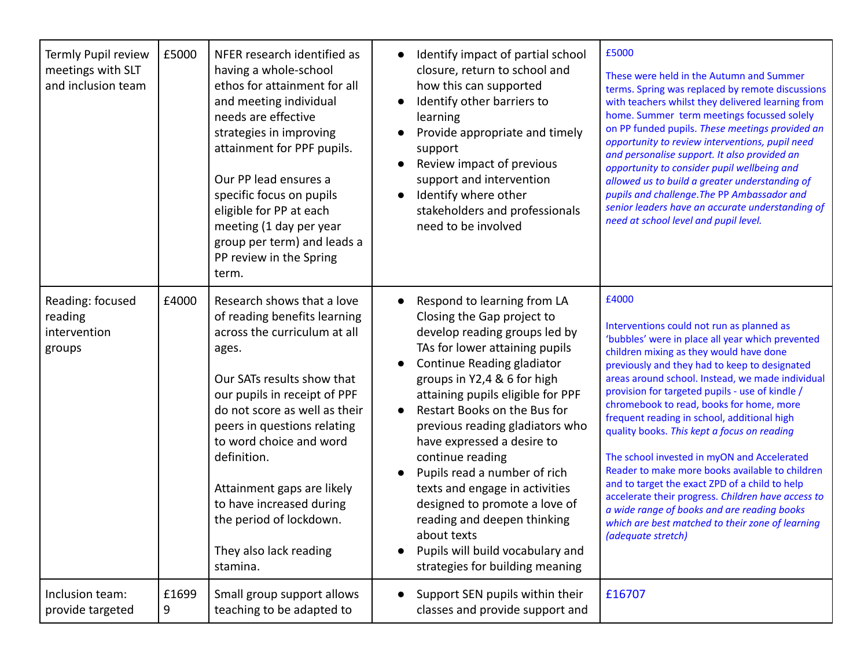| Termly Pupil review<br>meetings with SLT<br>and inclusion team | £5000      | NFER research identified as<br>having a whole-school<br>ethos for attainment for all<br>and meeting individual<br>needs are effective<br>strategies in improving<br>attainment for PPF pupils.<br>Our PP lead ensures a<br>specific focus on pupils<br>eligible for PP at each<br>meeting (1 day per year<br>group per term) and leads a<br>PP review in the Spring<br>term.                           | Identify impact of partial school<br>closure, return to school and<br>how this can supported<br>Identify other barriers to<br>learning<br>Provide appropriate and timely<br>support<br>Review impact of previous<br>support and intervention<br>Identify where other<br>stakeholders and professionals<br>need to be involved                                                                                                                                                                                                                                                            | £5000<br>These were held in the Autumn and Summer<br>terms. Spring was replaced by remote discussions<br>with teachers whilst they delivered learning from<br>home. Summer term meetings focussed solely<br>on PP funded pupils. These meetings provided an<br>opportunity to review interventions, pupil need<br>and personalise support. It also provided an<br>opportunity to consider pupil wellbeing and<br>allowed us to build a greater understanding of<br>pupils and challenge. The PP Ambassador and<br>senior leaders have an accurate understanding of<br>need at school level and pupil level.                                                                                                                                                                            |
|----------------------------------------------------------------|------------|--------------------------------------------------------------------------------------------------------------------------------------------------------------------------------------------------------------------------------------------------------------------------------------------------------------------------------------------------------------------------------------------------------|------------------------------------------------------------------------------------------------------------------------------------------------------------------------------------------------------------------------------------------------------------------------------------------------------------------------------------------------------------------------------------------------------------------------------------------------------------------------------------------------------------------------------------------------------------------------------------------|----------------------------------------------------------------------------------------------------------------------------------------------------------------------------------------------------------------------------------------------------------------------------------------------------------------------------------------------------------------------------------------------------------------------------------------------------------------------------------------------------------------------------------------------------------------------------------------------------------------------------------------------------------------------------------------------------------------------------------------------------------------------------------------|
| Reading: focused<br>reading<br>intervention<br>groups          | £4000      | Research shows that a love<br>of reading benefits learning<br>across the curriculum at all<br>ages.<br>Our SATs results show that<br>our pupils in receipt of PPF<br>do not score as well as their<br>peers in questions relating<br>to word choice and word<br>definition.<br>Attainment gaps are likely<br>to have increased during<br>the period of lockdown.<br>They also lack reading<br>stamina. | Respond to learning from LA<br>Closing the Gap project to<br>develop reading groups led by<br>TAs for lower attaining pupils<br>Continue Reading gladiator<br>groups in Y2,4 & 6 for high<br>attaining pupils eligible for PPF<br>Restart Books on the Bus for<br>$\bullet$<br>previous reading gladiators who<br>have expressed a desire to<br>continue reading<br>Pupils read a number of rich<br>texts and engage in activities<br>designed to promote a love of<br>reading and deepen thinking<br>about texts<br>Pupils will build vocabulary and<br>strategies for building meaning | £4000<br>Interventions could not run as planned as<br>'bubbles' were in place all year which prevented<br>children mixing as they would have done<br>previously and they had to keep to designated<br>areas around school. Instead, we made individual<br>provision for targeted pupils - use of kindle /<br>chromebook to read, books for home, more<br>frequent reading in school, additional high<br>quality books. This kept a focus on reading<br>The school invested in myON and Accelerated<br>Reader to make more books available to children<br>and to target the exact ZPD of a child to help<br>accelerate their progress. Children have access to<br>a wide range of books and are reading books<br>which are best matched to their zone of learning<br>(adequate stretch) |
| Inclusion team:<br>provide targeted                            | £1699<br>9 | Small group support allows<br>teaching to be adapted to                                                                                                                                                                                                                                                                                                                                                | Support SEN pupils within their<br>classes and provide support and                                                                                                                                                                                                                                                                                                                                                                                                                                                                                                                       | £16707                                                                                                                                                                                                                                                                                                                                                                                                                                                                                                                                                                                                                                                                                                                                                                                 |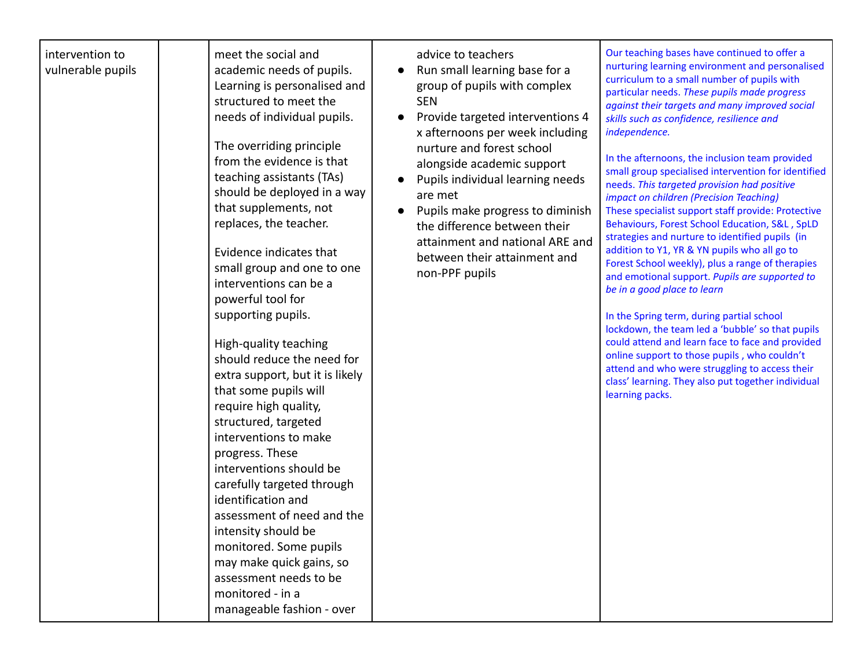| intervention to<br>vulnerable pupils | meet the social and<br>academic needs of pupils.<br>Learning is personalised and<br>structured to meet the<br>needs of individual pupils.<br>The overriding principle<br>from the evidence is that<br>teaching assistants (TAs)<br>should be deployed in a way<br>that supplements, not<br>replaces, the teacher.<br>Evidence indicates that<br>small group and one to one<br>interventions can be a<br>powerful tool for<br>supporting pupils.<br>High-quality teaching<br>should reduce the need for<br>extra support, but it is likely<br>that some pupils will<br>require high quality,<br>structured, targeted<br>interventions to make<br>progress. These<br>interventions should be<br>carefully targeted through<br>identification and<br>assessment of need and the<br>intensity should be<br>monitored. Some pupils<br>may make quick gains, so<br>assessment needs to be<br>monitored - in a<br>manageable fashion - over | advice to teachers<br>Run small learning base for a<br>group of pupils with complex<br><b>SEN</b><br>Provide targeted interventions 4<br>x afternoons per week including<br>nurture and forest school<br>alongside academic support<br>Pupils individual learning needs<br>are met<br>Pupils make progress to diminish<br>the difference between their<br>attainment and national ARE and<br>between their attainment and<br>non-PPF pupils | Our teaching bases have continued to offer a<br>nurturing learning environment and personalised<br>curriculum to a small number of pupils with<br>particular needs. These pupils made progress<br>against their targets and many improved social<br>skills such as confidence, resilience and<br>independence.<br>In the afternoons, the inclusion team provided<br>small group specialised intervention for identified<br>needs. This targeted provision had positive<br>impact on children (Precision Teaching)<br>These specialist support staff provide: Protective<br>Behaviours, Forest School Education, S&L, SpLD<br>strategies and nurture to identified pupils (in<br>addition to Y1, YR & YN pupils who all go to<br>Forest School weekly), plus a range of therapies<br>and emotional support. Pupils are supported to<br>be in a good place to learn<br>In the Spring term, during partial school<br>lockdown, the team led a 'bubble' so that pupils<br>could attend and learn face to face and provided<br>online support to those pupils, who couldn't<br>attend and who were struggling to access their<br>class' learning. They also put together individual<br>learning packs. |
|--------------------------------------|--------------------------------------------------------------------------------------------------------------------------------------------------------------------------------------------------------------------------------------------------------------------------------------------------------------------------------------------------------------------------------------------------------------------------------------------------------------------------------------------------------------------------------------------------------------------------------------------------------------------------------------------------------------------------------------------------------------------------------------------------------------------------------------------------------------------------------------------------------------------------------------------------------------------------------------|---------------------------------------------------------------------------------------------------------------------------------------------------------------------------------------------------------------------------------------------------------------------------------------------------------------------------------------------------------------------------------------------------------------------------------------------|---------------------------------------------------------------------------------------------------------------------------------------------------------------------------------------------------------------------------------------------------------------------------------------------------------------------------------------------------------------------------------------------------------------------------------------------------------------------------------------------------------------------------------------------------------------------------------------------------------------------------------------------------------------------------------------------------------------------------------------------------------------------------------------------------------------------------------------------------------------------------------------------------------------------------------------------------------------------------------------------------------------------------------------------------------------------------------------------------------------------------------------------------------------------------------------------------|
|--------------------------------------|--------------------------------------------------------------------------------------------------------------------------------------------------------------------------------------------------------------------------------------------------------------------------------------------------------------------------------------------------------------------------------------------------------------------------------------------------------------------------------------------------------------------------------------------------------------------------------------------------------------------------------------------------------------------------------------------------------------------------------------------------------------------------------------------------------------------------------------------------------------------------------------------------------------------------------------|---------------------------------------------------------------------------------------------------------------------------------------------------------------------------------------------------------------------------------------------------------------------------------------------------------------------------------------------------------------------------------------------------------------------------------------------|---------------------------------------------------------------------------------------------------------------------------------------------------------------------------------------------------------------------------------------------------------------------------------------------------------------------------------------------------------------------------------------------------------------------------------------------------------------------------------------------------------------------------------------------------------------------------------------------------------------------------------------------------------------------------------------------------------------------------------------------------------------------------------------------------------------------------------------------------------------------------------------------------------------------------------------------------------------------------------------------------------------------------------------------------------------------------------------------------------------------------------------------------------------------------------------------------|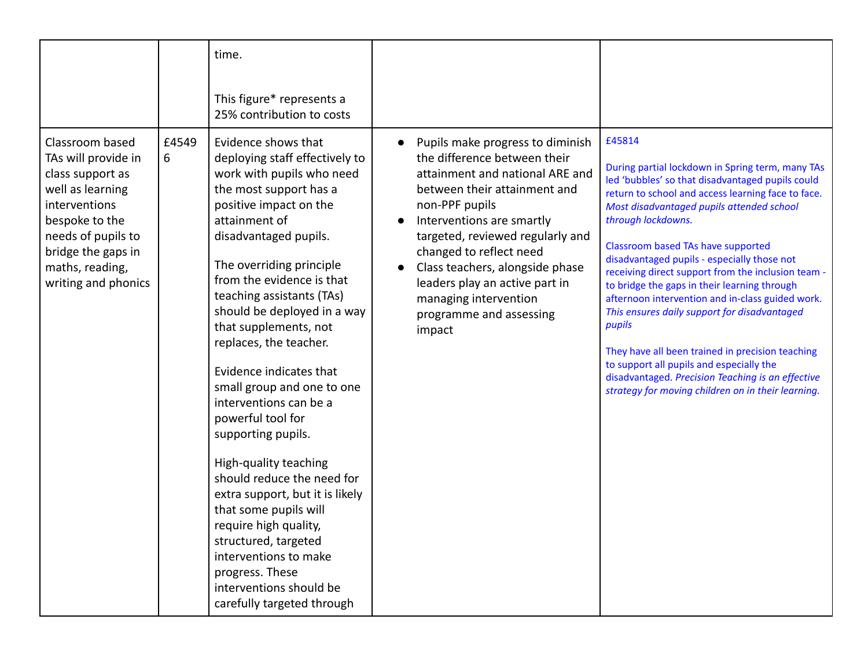|                                                                                                                                                                                                         |            | time.<br>This figure* represents a<br>25% contribution to costs                                                                                                                                                                                                                                                                                                                                                                                                                                                                                                                                                                                                                                                                                                 |                                                                                                                                                                                                                                                                                                                                                                                      |                                                                                                                                                                                                                                                                                                                                                                                                                                                                                                                                                                                                                                                                                                                                                             |
|---------------------------------------------------------------------------------------------------------------------------------------------------------------------------------------------------------|------------|-----------------------------------------------------------------------------------------------------------------------------------------------------------------------------------------------------------------------------------------------------------------------------------------------------------------------------------------------------------------------------------------------------------------------------------------------------------------------------------------------------------------------------------------------------------------------------------------------------------------------------------------------------------------------------------------------------------------------------------------------------------------|--------------------------------------------------------------------------------------------------------------------------------------------------------------------------------------------------------------------------------------------------------------------------------------------------------------------------------------------------------------------------------------|-------------------------------------------------------------------------------------------------------------------------------------------------------------------------------------------------------------------------------------------------------------------------------------------------------------------------------------------------------------------------------------------------------------------------------------------------------------------------------------------------------------------------------------------------------------------------------------------------------------------------------------------------------------------------------------------------------------------------------------------------------------|
| Classroom based<br>TAs will provide in<br>class support as<br>well as learning<br>interventions<br>bespoke to the<br>needs of pupils to<br>bridge the gaps in<br>maths, reading,<br>writing and phonics | £4549<br>6 | Evidence shows that<br>deploying staff effectively to<br>work with pupils who need<br>the most support has a<br>positive impact on the<br>attainment of<br>disadvantaged pupils.<br>The overriding principle<br>from the evidence is that<br>teaching assistants (TAs)<br>should be deployed in a way<br>that supplements, not<br>replaces, the teacher.<br>Evidence indicates that<br>small group and one to one<br>interventions can be a<br>powerful tool for<br>supporting pupils.<br>High-quality teaching<br>should reduce the need for<br>extra support, but it is likely<br>that some pupils will<br>require high quality,<br>structured, targeted<br>interventions to make<br>progress. These<br>interventions should be<br>carefully targeted through | Pupils make progress to diminish<br>the difference between their<br>attainment and national ARE and<br>between their attainment and<br>non-PPF pupils<br>Interventions are smartly<br>targeted, reviewed regularly and<br>changed to reflect need<br>Class teachers, alongside phase<br>leaders play an active part in<br>managing intervention<br>programme and assessing<br>impact | £45814<br>During partial lockdown in Spring term, many TAs<br>led 'bubbles' so that disadvantaged pupils could<br>return to school and access learning face to face.<br>Most disadvantaged pupils attended school<br>through lockdowns.<br>Classroom based TAs have supported<br>disadvantaged pupils - especially those not<br>receiving direct support from the inclusion team -<br>to bridge the gaps in their learning through<br>afternoon intervention and in-class guided work.<br>This ensures daily support for disadvantaged<br>pupils<br>They have all been trained in precision teaching<br>to support all pupils and especially the<br>disadvantaged. Precision Teaching is an effective<br>strategy for moving children on in their learning. |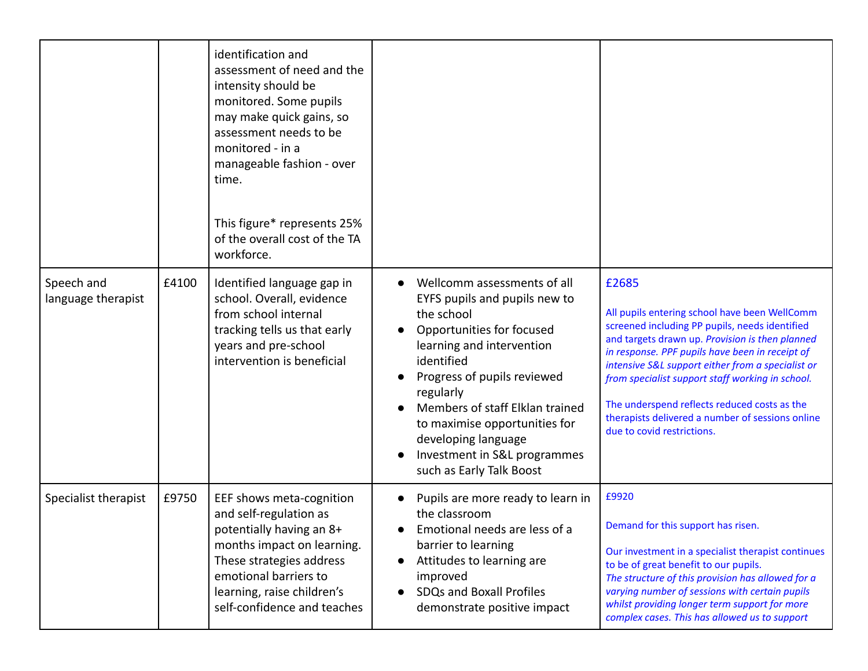|                                  |       | identification and<br>assessment of need and the<br>intensity should be<br>monitored. Some pupils<br>may make quick gains, so<br>assessment needs to be<br>monitored - in a<br>manageable fashion - over<br>time.<br>This figure* represents 25%<br>of the overall cost of the TA<br>workforce. |                                                                                                                                                                                                                                                                                                                                                       |                                                                                                                                                                                                                                                                                                                                                                                                                                                           |
|----------------------------------|-------|-------------------------------------------------------------------------------------------------------------------------------------------------------------------------------------------------------------------------------------------------------------------------------------------------|-------------------------------------------------------------------------------------------------------------------------------------------------------------------------------------------------------------------------------------------------------------------------------------------------------------------------------------------------------|-----------------------------------------------------------------------------------------------------------------------------------------------------------------------------------------------------------------------------------------------------------------------------------------------------------------------------------------------------------------------------------------------------------------------------------------------------------|
| Speech and<br>language therapist | £4100 | Identified language gap in<br>school. Overall, evidence<br>from school internal<br>tracking tells us that early<br>years and pre-school<br>intervention is beneficial                                                                                                                           | Wellcomm assessments of all<br>EYFS pupils and pupils new to<br>the school<br>Opportunities for focused<br>learning and intervention<br>identified<br>Progress of pupils reviewed<br>regularly<br>Members of staff Elklan trained<br>to maximise opportunities for<br>developing language<br>Investment in S&L programmes<br>such as Early Talk Boost | £2685<br>All pupils entering school have been WellComm<br>screened including PP pupils, needs identified<br>and targets drawn up. Provision is then planned<br>in response. PPF pupils have been in receipt of<br>intensive S&L support either from a specialist or<br>from specialist support staff working in school.<br>The underspend reflects reduced costs as the<br>therapists delivered a number of sessions online<br>due to covid restrictions. |
| Specialist therapist             | £9750 | EEF shows meta-cognition<br>and self-regulation as<br>potentially having an 8+<br>months impact on learning.<br>These strategies address<br>emotional barriers to<br>learning, raise children's<br>self-confidence and teaches                                                                  | Pupils are more ready to learn in<br>the classroom<br>Emotional needs are less of a<br>barrier to learning<br>Attitudes to learning are<br>improved<br>SDQs and Boxall Profiles<br>demonstrate positive impact                                                                                                                                        | £9920<br>Demand for this support has risen.<br>Our investment in a specialist therapist continues<br>to be of great benefit to our pupils.<br>The structure of this provision has allowed for a<br>varying number of sessions with certain pupils<br>whilst providing longer term support for more<br>complex cases. This has allowed us to support                                                                                                       |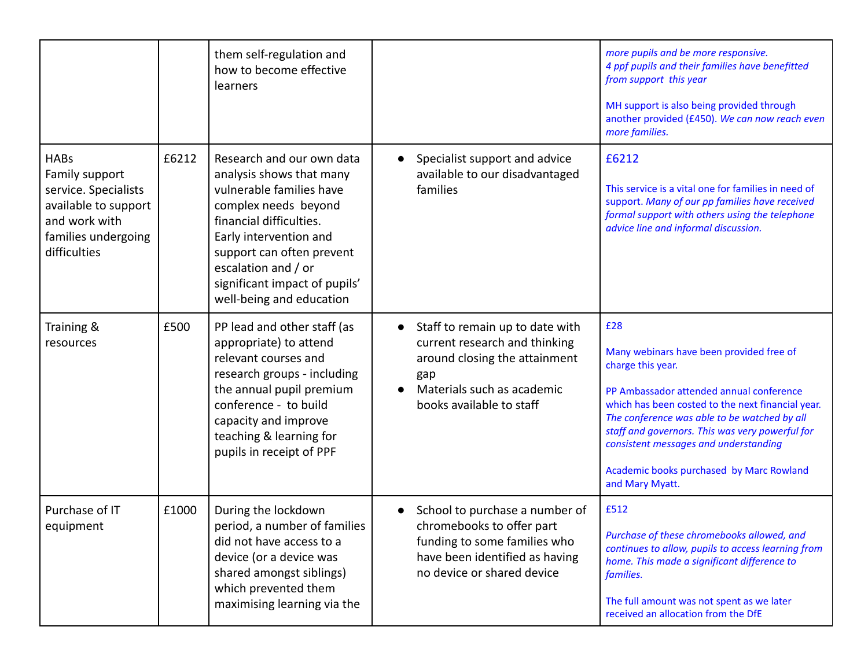|                                                                                                                                       |       | them self-regulation and<br>how to become effective<br>learners                                                                                                                                                                                                                 |                        |                                                                                                                                                                    | more pupils and be more responsive.<br>4 ppf pupils and their families have benefitted<br>from support this year<br>MH support is also being provided through<br>another provided (£450). We can now reach even<br>more families.                                                                                                                                                |
|---------------------------------------------------------------------------------------------------------------------------------------|-------|---------------------------------------------------------------------------------------------------------------------------------------------------------------------------------------------------------------------------------------------------------------------------------|------------------------|--------------------------------------------------------------------------------------------------------------------------------------------------------------------|----------------------------------------------------------------------------------------------------------------------------------------------------------------------------------------------------------------------------------------------------------------------------------------------------------------------------------------------------------------------------------|
| <b>HABs</b><br>Family support<br>service. Specialists<br>available to support<br>and work with<br>families undergoing<br>difficulties | £6212 | Research and our own data<br>analysis shows that many<br>vulnerable families have<br>complex needs beyond<br>financial difficulties.<br>Early intervention and<br>support can often prevent<br>escalation and / or<br>significant impact of pupils'<br>well-being and education |                        | Specialist support and advice<br>available to our disadvantaged<br>families                                                                                        | £6212<br>This service is a vital one for families in need of<br>support. Many of our pp families have received<br>formal support with others using the telephone<br>advice line and informal discussion.                                                                                                                                                                         |
| Training &<br>resources                                                                                                               | £500  | PP lead and other staff (as<br>appropriate) to attend<br>relevant courses and<br>research groups - including<br>the annual pupil premium<br>conference - to build<br>capacity and improve<br>teaching & learning for<br>pupils in receipt of PPF                                | $\bullet$<br>$\bullet$ | Staff to remain up to date with<br>current research and thinking<br>around closing the attainment<br>gap<br>Materials such as academic<br>books available to staff | £28<br>Many webinars have been provided free of<br>charge this year.<br>PP Ambassador attended annual conference<br>which has been costed to the next financial year.<br>The conference was able to be watched by all<br>staff and governors. This was very powerful for<br>consistent messages and understanding<br>Academic books purchased by Marc Rowland<br>and Mary Myatt. |
| Purchase of IT<br>equipment                                                                                                           | £1000 | During the lockdown<br>period, a number of families<br>did not have access to a<br>device (or a device was<br>shared amongst siblings)<br>which prevented them<br>maximising learning via the                                                                                   |                        | School to purchase a number of<br>chromebooks to offer part<br>funding to some families who<br>have been identified as having<br>no device or shared device        | £512<br>Purchase of these chromebooks allowed, and<br>continues to allow, pupils to access learning from<br>home. This made a significant difference to<br>families.<br>The full amount was not spent as we later<br>received an allocation from the DfE                                                                                                                         |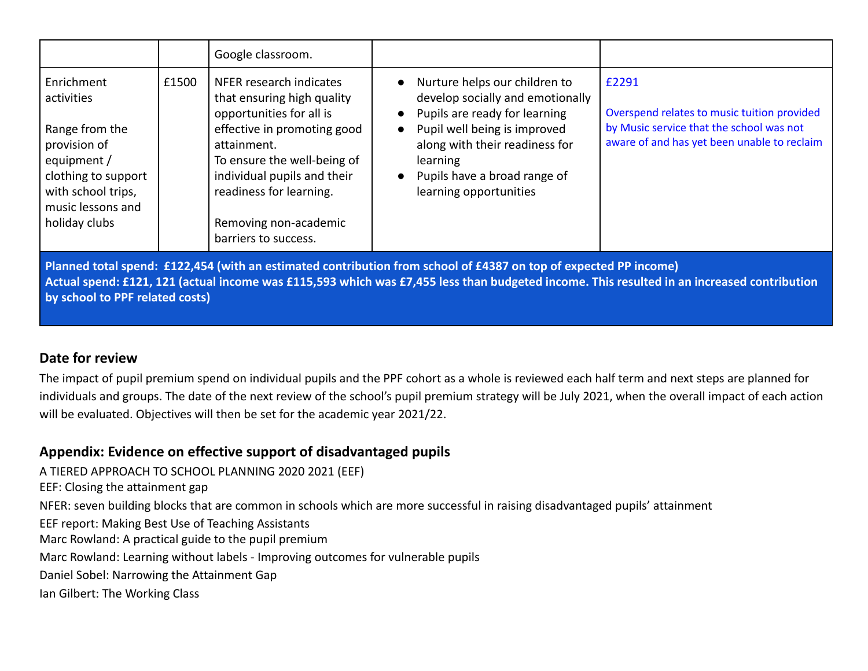|                                                                                                                                                              |       | Google classroom.                                                                                                                                                                                                                                                         |                                                                                                                                                                                                                                            |                                                                                                                                                 |
|--------------------------------------------------------------------------------------------------------------------------------------------------------------|-------|---------------------------------------------------------------------------------------------------------------------------------------------------------------------------------------------------------------------------------------------------------------------------|--------------------------------------------------------------------------------------------------------------------------------------------------------------------------------------------------------------------------------------------|-------------------------------------------------------------------------------------------------------------------------------------------------|
| Enrichment<br>activities<br>Range from the<br>provision of<br>equipment /<br>clothing to support<br>with school trips,<br>music lessons and<br>holiday clubs | £1500 | NFER research indicates<br>that ensuring high quality<br>opportunities for all is<br>effective in promoting good<br>attainment.<br>To ensure the well-being of<br>individual pupils and their<br>readiness for learning.<br>Removing non-academic<br>barriers to success. | Nurture helps our children to<br>develop socially and emotionally<br>Pupils are ready for learning<br>Pupil well being is improved<br>along with their readiness for<br>learning<br>Pupils have a broad range of<br>learning opportunities | £2291<br>Overspend relates to music tuition provided<br>by Music service that the school was not<br>aware of and has yet been unable to reclaim |

**Planned total spend: £122,454 (with an estimated contribution from school of £4387 on top of expected PP income) Actual spend: £121, 121 (actual income was £115,593 which was £7,455 less than budgeted income. This resulted in an increased contribution by school to PPF related costs)**

### **Date for review**

The impact of pupil premium spend on individual pupils and the PPF cohort as a whole is reviewed each half term and next steps are planned for individuals and groups. The date of the next review of the school's pupil premium strategy will be July 2021, when the overall impact of each action will be evaluated. Objectives will then be set for the academic year 2021/22.

## **Appendix: Evidence on effective support of disadvantaged pupils**

A TIERED APPROACH TO SCHOOL PLANNING 2020 2021 (EEF)

EEF: Closing the attainment gap

NFER: seven building blocks that are common in schools which are more successful in raising disadvantaged pupils' attainment

EEF report: Making Best Use of Teaching Assistants

Marc Rowland: A practical guide to the pupil premium

Marc Rowland: Learning without labels - Improving outcomes for vulnerable pupils

Daniel Sobel: Narrowing the Attainment Gap

Ian Gilbert: The Working Class